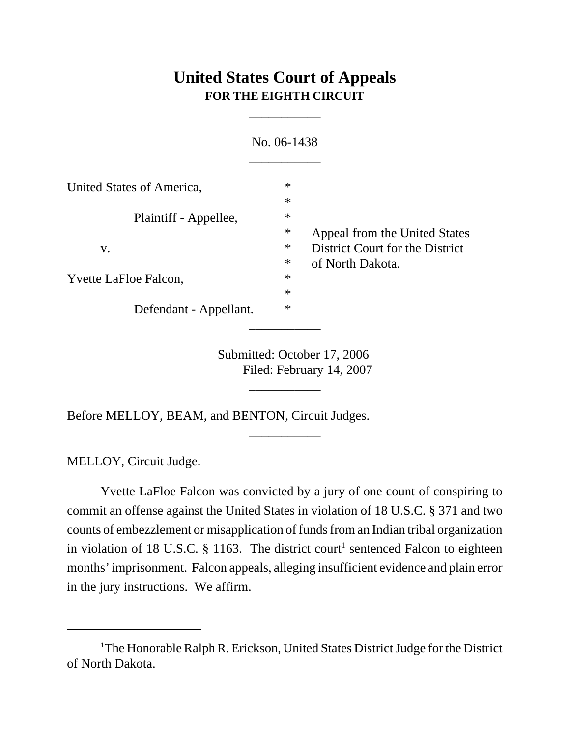## **United States Court of Appeals FOR THE EIGHTH CIRCUIT**

\_\_\_\_\_\_\_\_\_\_\_

|                              | No. 06-1438 |                                 |
|------------------------------|-------------|---------------------------------|
| United States of America,    | $\ast$      |                                 |
|                              | $\ast$      |                                 |
| Plaintiff - Appellee,        | $\ast$      |                                 |
|                              | ∗           | Appeal from the United States   |
| V.                           | ∗           | District Court for the District |
|                              | $\ast$      | of North Dakota.                |
| <b>Yvette LaFloe Falcon,</b> | $\ast$      |                                 |
|                              | $\ast$      |                                 |
| Defendant - Appellant.       | $\ast$      |                                 |

Submitted: October 17, 2006 Filed: February 14, 2007

\_\_\_\_\_\_\_\_\_\_\_

\_\_\_\_\_\_\_\_\_\_\_

Before MELLOY, BEAM, and BENTON, Circuit Judges.

MELLOY, Circuit Judge.

Yvette LaFloe Falcon was convicted by a jury of one count of conspiring to commit an offense against the United States in violation of 18 U.S.C. § 371 and two counts of embezzlement or misapplication of funds from an Indian tribal organization in violation of 18 U.S.C.  $\S$  1163. The district court<sup>1</sup> sentenced Falcon to eighteen months' imprisonment. Falcon appeals, alleging insufficient evidence and plain error in the jury instructions. We affirm.

<sup>&</sup>lt;sup>1</sup>The Honorable Ralph R. Erickson, United States District Judge for the District of North Dakota.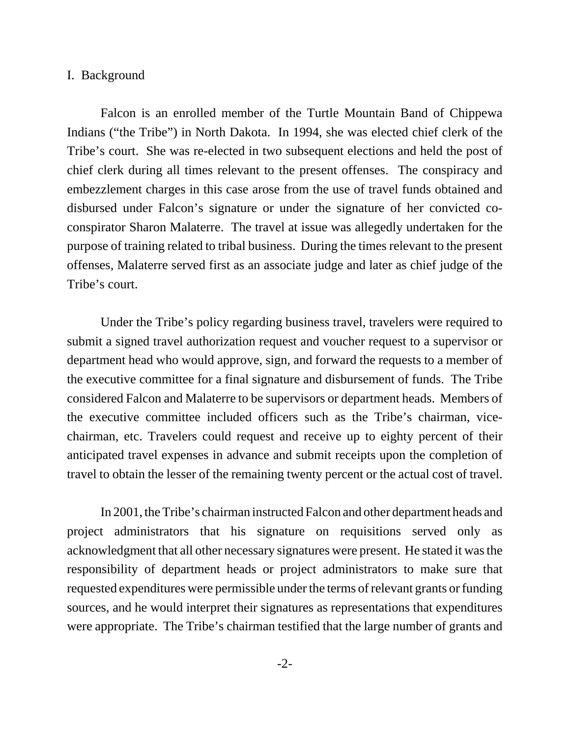## I. Background

Falcon is an enrolled member of the Turtle Mountain Band of Chippewa Indians ("the Tribe") in North Dakota. In 1994, she was elected chief clerk of the Tribe's court. She was re-elected in two subsequent elections and held the post of chief clerk during all times relevant to the present offenses. The conspiracy and embezzlement charges in this case arose from the use of travel funds obtained and disbursed under Falcon's signature or under the signature of her convicted coconspirator Sharon Malaterre. The travel at issue was allegedly undertaken for the purpose of training related to tribal business. During the times relevant to the present offenses, Malaterre served first as an associate judge and later as chief judge of the Tribe's court.

Under the Tribe's policy regarding business travel, travelers were required to submit a signed travel authorization request and voucher request to a supervisor or department head who would approve, sign, and forward the requests to a member of the executive committee for a final signature and disbursement of funds. The Tribe considered Falcon and Malaterre to be supervisors or department heads. Members of the executive committee included officers such as the Tribe's chairman, vicechairman, etc. Travelers could request and receive up to eighty percent of their anticipated travel expenses in advance and submit receipts upon the completion of travel to obtain the lesser of the remaining twenty percent or the actual cost of travel.

In 2001, the Tribe's chairman instructed Falcon and other department heads and project administrators that his signature on requisitions served only as acknowledgment that all other necessary signatures were present. He stated it was the responsibility of department heads or project administrators to make sure that requested expenditures were permissible under the terms of relevant grants or funding sources, and he would interpret their signatures as representations that expenditures were appropriate. The Tribe's chairman testified that the large number of grants and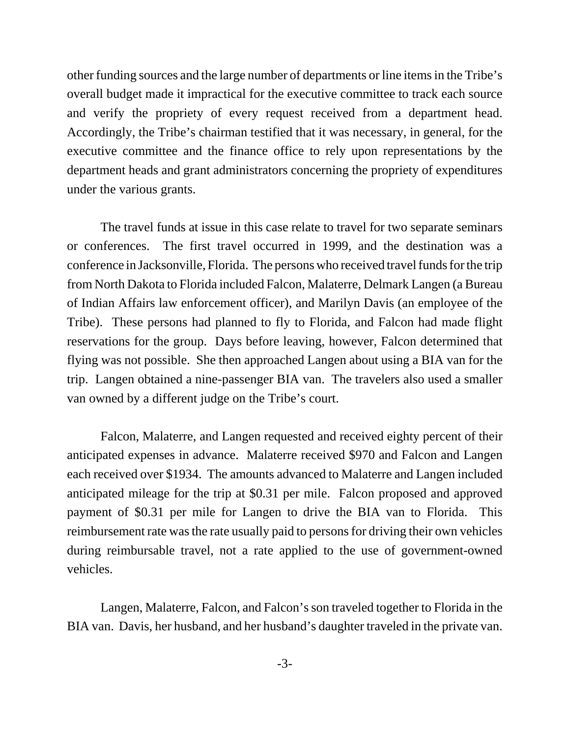other funding sources and the large number of departments or line items in the Tribe's overall budget made it impractical for the executive committee to track each source and verify the propriety of every request received from a department head. Accordingly, the Tribe's chairman testified that it was necessary, in general, for the executive committee and the finance office to rely upon representations by the department heads and grant administrators concerning the propriety of expenditures under the various grants.

The travel funds at issue in this case relate to travel for two separate seminars or conferences. The first travel occurred in 1999, and the destination was a conference in Jacksonville, Florida. The persons who received travel funds for the trip from North Dakota to Florida included Falcon, Malaterre, Delmark Langen (a Bureau of Indian Affairs law enforcement officer), and Marilyn Davis (an employee of the Tribe). These persons had planned to fly to Florida, and Falcon had made flight reservations for the group. Days before leaving, however, Falcon determined that flying was not possible. She then approached Langen about using a BIA van for the trip. Langen obtained a nine-passenger BIA van. The travelers also used a smaller van owned by a different judge on the Tribe's court.

Falcon, Malaterre, and Langen requested and received eighty percent of their anticipated expenses in advance. Malaterre received \$970 and Falcon and Langen each received over \$1934. The amounts advanced to Malaterre and Langen included anticipated mileage for the trip at \$0.31 per mile. Falcon proposed and approved payment of \$0.31 per mile for Langen to drive the BIA van to Florida. This reimbursement rate was the rate usually paid to persons for driving their own vehicles during reimbursable travel, not a rate applied to the use of government-owned vehicles.

Langen, Malaterre, Falcon, and Falcon's son traveled together to Florida in the BIA van. Davis, her husband, and her husband's daughter traveled in the private van.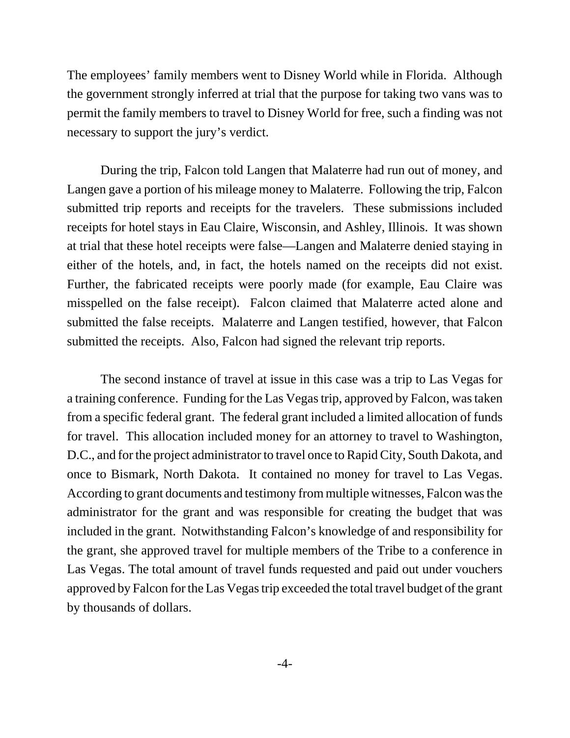The employees' family members went to Disney World while in Florida. Although the government strongly inferred at trial that the purpose for taking two vans was to permit the family members to travel to Disney World for free, such a finding was not necessary to support the jury's verdict.

During the trip, Falcon told Langen that Malaterre had run out of money, and Langen gave a portion of his mileage money to Malaterre. Following the trip, Falcon submitted trip reports and receipts for the travelers. These submissions included receipts for hotel stays in Eau Claire, Wisconsin, and Ashley, Illinois. It was shown at trial that these hotel receipts were false—Langen and Malaterre denied staying in either of the hotels, and, in fact, the hotels named on the receipts did not exist. Further, the fabricated receipts were poorly made (for example, Eau Claire was misspelled on the false receipt). Falcon claimed that Malaterre acted alone and submitted the false receipts. Malaterre and Langen testified, however, that Falcon submitted the receipts. Also, Falcon had signed the relevant trip reports.

The second instance of travel at issue in this case was a trip to Las Vegas for a training conference. Funding for the Las Vegas trip, approved by Falcon, was taken from a specific federal grant. The federal grant included a limited allocation of funds for travel. This allocation included money for an attorney to travel to Washington, D.C., and for the project administrator to travel once to Rapid City, South Dakota, and once to Bismark, North Dakota. It contained no money for travel to Las Vegas. According to grant documents and testimony from multiple witnesses, Falcon was the administrator for the grant and was responsible for creating the budget that was included in the grant. Notwithstanding Falcon's knowledge of and responsibility for the grant, she approved travel for multiple members of the Tribe to a conference in Las Vegas. The total amount of travel funds requested and paid out under vouchers approved by Falcon for the Las Vegas trip exceeded the total travel budget of the grant by thousands of dollars.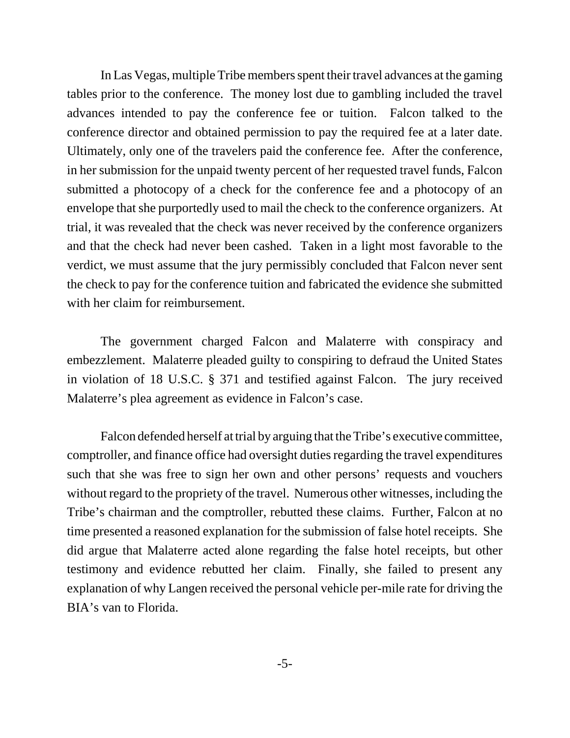In Las Vegas, multiple Tribe members spent their travel advances at the gaming tables prior to the conference. The money lost due to gambling included the travel advances intended to pay the conference fee or tuition. Falcon talked to the conference director and obtained permission to pay the required fee at a later date. Ultimately, only one of the travelers paid the conference fee. After the conference, in her submission for the unpaid twenty percent of her requested travel funds, Falcon submitted a photocopy of a check for the conference fee and a photocopy of an envelope that she purportedly used to mail the check to the conference organizers. At trial, it was revealed that the check was never received by the conference organizers and that the check had never been cashed. Taken in a light most favorable to the verdict, we must assume that the jury permissibly concluded that Falcon never sent the check to pay for the conference tuition and fabricated the evidence she submitted with her claim for reimbursement.

The government charged Falcon and Malaterre with conspiracy and embezzlement. Malaterre pleaded guilty to conspiring to defraud the United States in violation of 18 U.S.C. § 371 and testified against Falcon. The jury received Malaterre's plea agreement as evidence in Falcon's case.

Falcon defended herself at trial by arguing that the Tribe's executive committee, comptroller, and finance office had oversight duties regarding the travel expenditures such that she was free to sign her own and other persons' requests and vouchers without regard to the propriety of the travel. Numerous other witnesses, including the Tribe's chairman and the comptroller, rebutted these claims. Further, Falcon at no time presented a reasoned explanation for the submission of false hotel receipts. She did argue that Malaterre acted alone regarding the false hotel receipts, but other testimony and evidence rebutted her claim. Finally, she failed to present any explanation of why Langen received the personal vehicle per-mile rate for driving the BIA's van to Florida.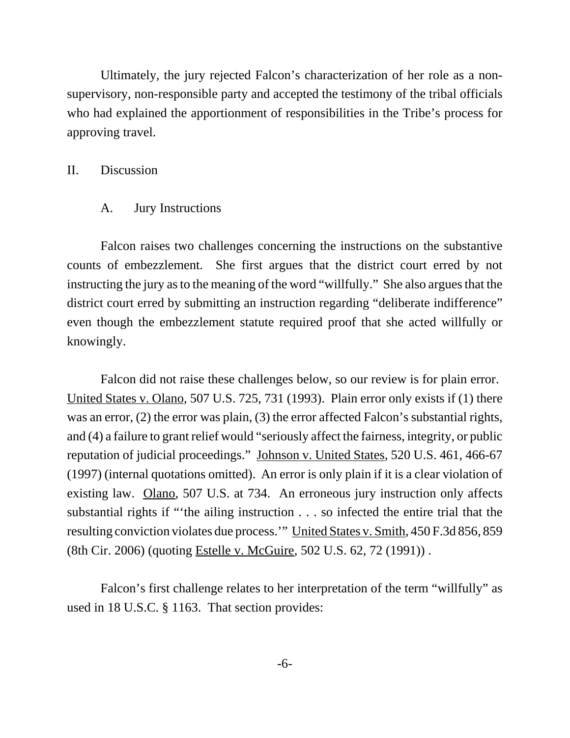Ultimately, the jury rejected Falcon's characterization of her role as a nonsupervisory, non-responsible party and accepted the testimony of the tribal officials who had explained the apportionment of responsibilities in the Tribe's process for approving travel.

## II. Discussion

A. Jury Instructions

Falcon raises two challenges concerning the instructions on the substantive counts of embezzlement. She first argues that the district court erred by not instructing the jury as to the meaning of the word "willfully." She also argues that the district court erred by submitting an instruction regarding "deliberate indifference" even though the embezzlement statute required proof that she acted willfully or knowingly.

Falcon did not raise these challenges below, so our review is for plain error. United States v. Olano, 507 U.S. 725, 731 (1993). Plain error only exists if (1) there was an error, (2) the error was plain, (3) the error affected Falcon's substantial rights, and (4) a failure to grant relief would "seriously affect the fairness, integrity, or public reputation of judicial proceedings." Johnson v. United States, 520 U.S. 461, 466-67 (1997) (internal quotations omitted). An error is only plain if it is a clear violation of existing law. Olano, 507 U.S. at 734. An erroneous jury instruction only affects substantial rights if "'the ailing instruction . . . so infected the entire trial that the resulting conviction violates due process.'" United States v. Smith, 450 F.3d 856, 859 (8th Cir. 2006) (quoting Estelle v. McGuire, 502 U.S. 62, 72 (1991)) .

Falcon's first challenge relates to her interpretation of the term "willfully" as used in 18 U.S.C. § 1163. That section provides: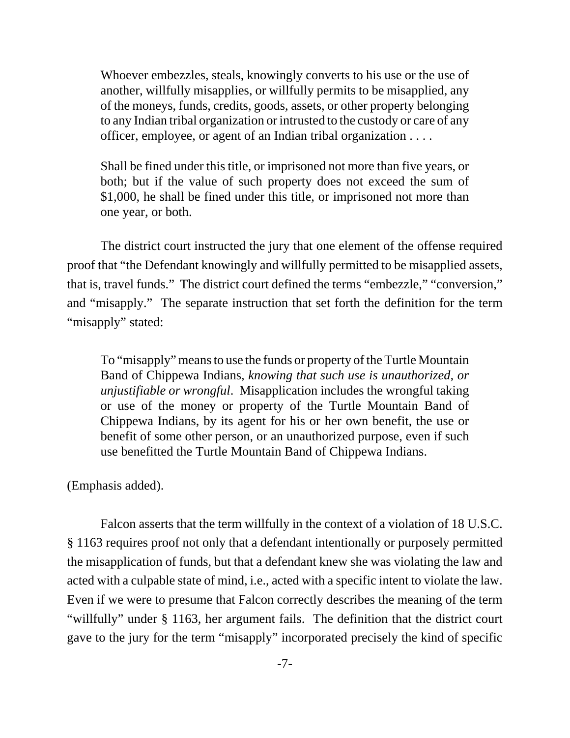Whoever embezzles, steals, knowingly converts to his use or the use of another, willfully misapplies, or willfully permits to be misapplied, any of the moneys, funds, credits, goods, assets, or other property belonging to any Indian tribal organization or intrusted to the custody or care of any officer, employee, or agent of an Indian tribal organization . . . .

Shall be fined under this title, or imprisoned not more than five years, or both; but if the value of such property does not exceed the sum of \$1,000, he shall be fined under this title, or imprisoned not more than one year, or both.

The district court instructed the jury that one element of the offense required proof that "the Defendant knowingly and willfully permitted to be misapplied assets, that is, travel funds." The district court defined the terms "embezzle," "conversion," and "misapply." The separate instruction that set forth the definition for the term "misapply" stated:

To "misapply" means to use the funds or property of the Turtle Mountain Band of Chippewa Indians, *knowing that such use is unauthorized, or unjustifiable or wrongful*. Misapplication includes the wrongful taking or use of the money or property of the Turtle Mountain Band of Chippewa Indians, by its agent for his or her own benefit, the use or benefit of some other person, or an unauthorized purpose, even if such use benefitted the Turtle Mountain Band of Chippewa Indians.

(Emphasis added).

Falcon asserts that the term willfully in the context of a violation of 18 U.S.C. § 1163 requires proof not only that a defendant intentionally or purposely permitted the misapplication of funds, but that a defendant knew she was violating the law and acted with a culpable state of mind, i.e., acted with a specific intent to violate the law. Even if we were to presume that Falcon correctly describes the meaning of the term "willfully" under § 1163, her argument fails. The definition that the district court gave to the jury for the term "misapply" incorporated precisely the kind of specific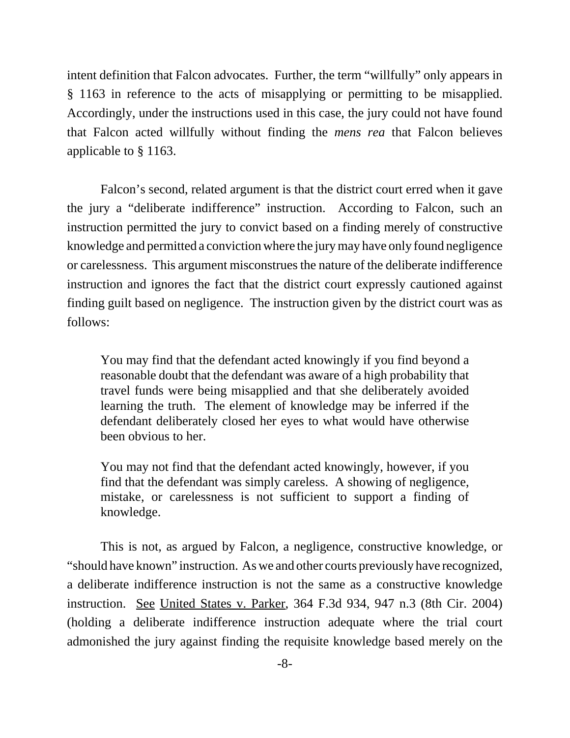intent definition that Falcon advocates. Further, the term "willfully" only appears in § 1163 in reference to the acts of misapplying or permitting to be misapplied. Accordingly, under the instructions used in this case, the jury could not have found that Falcon acted willfully without finding the *mens rea* that Falcon believes applicable to § 1163.

Falcon's second, related argument is that the district court erred when it gave the jury a "deliberate indifference" instruction. According to Falcon, such an instruction permitted the jury to convict based on a finding merely of constructive knowledge and permitted a conviction where the jury may have only found negligence or carelessness. This argument misconstrues the nature of the deliberate indifference instruction and ignores the fact that the district court expressly cautioned against finding guilt based on negligence. The instruction given by the district court was as follows:

You may find that the defendant acted knowingly if you find beyond a reasonable doubt that the defendant was aware of a high probability that travel funds were being misapplied and that she deliberately avoided learning the truth. The element of knowledge may be inferred if the defendant deliberately closed her eyes to what would have otherwise been obvious to her.

You may not find that the defendant acted knowingly, however, if you find that the defendant was simply careless. A showing of negligence, mistake, or carelessness is not sufficient to support a finding of knowledge.

This is not, as argued by Falcon, a negligence, constructive knowledge, or "should have known" instruction. As we and other courts previously have recognized, a deliberate indifference instruction is not the same as a constructive knowledge instruction. See United States v. Parker, 364 F.3d 934, 947 n.3 (8th Cir. 2004) (holding a deliberate indifference instruction adequate where the trial court admonished the jury against finding the requisite knowledge based merely on the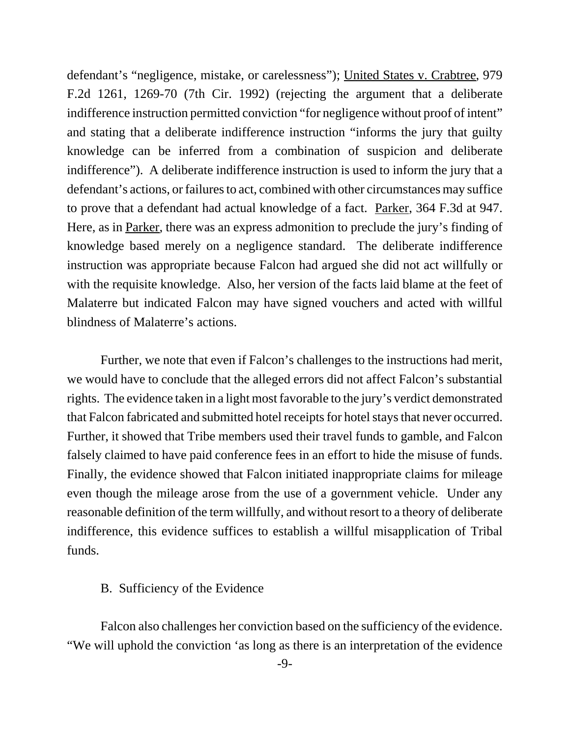defendant's "negligence, mistake, or carelessness"); United States v. Crabtree, 979 F.2d 1261, 1269-70 (7th Cir. 1992) (rejecting the argument that a deliberate indifference instruction permitted conviction "for negligence without proof of intent" and stating that a deliberate indifference instruction "informs the jury that guilty knowledge can be inferred from a combination of suspicion and deliberate indifference"). A deliberate indifference instruction is used to inform the jury that a defendant's actions, or failures to act, combined with other circumstances may suffice to prove that a defendant had actual knowledge of a fact. Parker, 364 F.3d at 947. Here, as in Parker, there was an express admonition to preclude the jury's finding of knowledge based merely on a negligence standard. The deliberate indifference instruction was appropriate because Falcon had argued she did not act willfully or with the requisite knowledge. Also, her version of the facts laid blame at the feet of Malaterre but indicated Falcon may have signed vouchers and acted with willful blindness of Malaterre's actions.

Further, we note that even if Falcon's challenges to the instructions had merit, we would have to conclude that the alleged errors did not affect Falcon's substantial rights. The evidence taken in a light most favorable to the jury's verdict demonstrated that Falcon fabricated and submitted hotel receipts for hotel stays that never occurred. Further, it showed that Tribe members used their travel funds to gamble, and Falcon falsely claimed to have paid conference fees in an effort to hide the misuse of funds. Finally, the evidence showed that Falcon initiated inappropriate claims for mileage even though the mileage arose from the use of a government vehicle. Under any reasonable definition of the term willfully, and without resort to a theory of deliberate indifference, this evidence suffices to establish a willful misapplication of Tribal funds.

## B. Sufficiency of the Evidence

Falcon also challenges her conviction based on the sufficiency of the evidence. "We will uphold the conviction 'as long as there is an interpretation of the evidence